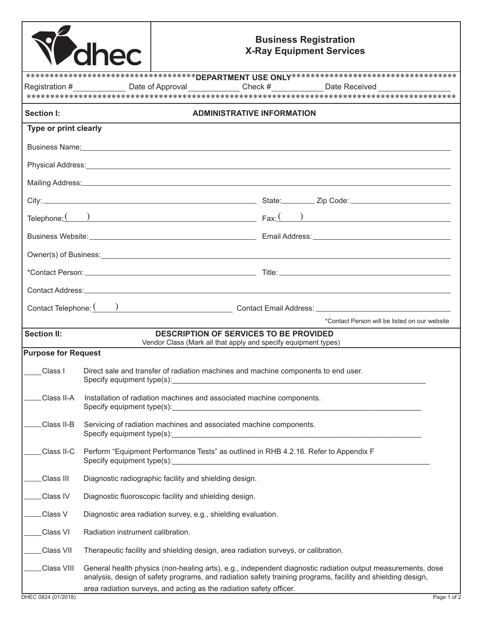|                            | <b><i>Delhec</i></b>                                                                                                                                                                                                                                                                                                   | <b>Business Registration</b><br><b>X-Ray Equipment Services</b>                                                                                                                                                               |  |  |
|----------------------------|------------------------------------------------------------------------------------------------------------------------------------------------------------------------------------------------------------------------------------------------------------------------------------------------------------------------|-------------------------------------------------------------------------------------------------------------------------------------------------------------------------------------------------------------------------------|--|--|
|                            |                                                                                                                                                                                                                                                                                                                        |                                                                                                                                                                                                                               |  |  |
|                            |                                                                                                                                                                                                                                                                                                                        | Registration #_________________Date of Approval______________Check #____________Date Received ____________                                                                                                                    |  |  |
| Section I:                 |                                                                                                                                                                                                                                                                                                                        | <b>ADMINISTRATIVE INFORMATION</b>                                                                                                                                                                                             |  |  |
| Type or print clearly      |                                                                                                                                                                                                                                                                                                                        |                                                                                                                                                                                                                               |  |  |
|                            |                                                                                                                                                                                                                                                                                                                        | Business Name: Note of the state of the state of the state of the state of the state of the state of the state of the state of the state of the state of the state of the state of the state of the state of the state of the |  |  |
|                            |                                                                                                                                                                                                                                                                                                                        |                                                                                                                                                                                                                               |  |  |
|                            |                                                                                                                                                                                                                                                                                                                        |                                                                                                                                                                                                                               |  |  |
|                            |                                                                                                                                                                                                                                                                                                                        |                                                                                                                                                                                                                               |  |  |
|                            |                                                                                                                                                                                                                                                                                                                        | Telephone: $\begin{array}{ c c c c c c }\n\hline\n\end{array}$ Fax: $\begin{array}{ c c c c c }\n\hline\n\end{array}$ Fax: $\begin{array}{ c c c c c }\n\hline\n\end{array}$                                                  |  |  |
|                            |                                                                                                                                                                                                                                                                                                                        |                                                                                                                                                                                                                               |  |  |
|                            |                                                                                                                                                                                                                                                                                                                        | Owner(s) of Business: <u>contract the contract of Business:</u>                                                                                                                                                               |  |  |
|                            |                                                                                                                                                                                                                                                                                                                        |                                                                                                                                                                                                                               |  |  |
|                            |                                                                                                                                                                                                                                                                                                                        |                                                                                                                                                                                                                               |  |  |
|                            |                                                                                                                                                                                                                                                                                                                        |                                                                                                                                                                                                                               |  |  |
|                            |                                                                                                                                                                                                                                                                                                                        | *Contact Person will be listed on our website                                                                                                                                                                                 |  |  |
| <b>Section II:</b>         |                                                                                                                                                                                                                                                                                                                        | <b>DESCRIPTION OF SERVICES TO BE PROVIDED</b><br>Vendor Class (Mark all that apply and specify equipment types)                                                                                                               |  |  |
| <b>Purpose for Request</b> |                                                                                                                                                                                                                                                                                                                        |                                                                                                                                                                                                                               |  |  |
| Class I                    | Direct sale and transfer of radiation machines and machine components to end user.                                                                                                                                                                                                                                     |                                                                                                                                                                                                                               |  |  |
| Class II-A                 | Installation of radiation machines and associated machine components.                                                                                                                                                                                                                                                  |                                                                                                                                                                                                                               |  |  |
| Class II-B                 | Servicing of radiation machines and associated machine components.                                                                                                                                                                                                                                                     |                                                                                                                                                                                                                               |  |  |
| Class II-C                 | Perform "Equipment Performance Tests" as outlined in RHB 4.2.16. Refer to Appendix F<br>Specify equipment type(s): Notice that the set of the set of the set of the set of the set of the set of the set of the set of the set of the set of the set of the set of the set of the set of the set of the set of the set |                                                                                                                                                                                                                               |  |  |
| Class III                  | Diagnostic radiographic facility and shielding design.                                                                                                                                                                                                                                                                 |                                                                                                                                                                                                                               |  |  |
| Class IV                   | Diagnostic fluoroscopic facility and shielding design.                                                                                                                                                                                                                                                                 |                                                                                                                                                                                                                               |  |  |
| Class V                    | Diagnostic area radiation survey, e.g., shielding evaluation.                                                                                                                                                                                                                                                          |                                                                                                                                                                                                                               |  |  |
| Class VI                   | Radiation instrument calibration.                                                                                                                                                                                                                                                                                      |                                                                                                                                                                                                                               |  |  |
| Class VII                  |                                                                                                                                                                                                                                                                                                                        | Therapeutic facility and shielding design, area radiation surveys, or calibration.                                                                                                                                            |  |  |
| Class VIII                 |                                                                                                                                                                                                                                                                                                                        | General health physics (non-healing arts), e.g., independent diagnostic radiation output measurements, dose<br>analysis, design of safety programs, and radiation safety training programs, facility and shielding design,    |  |  |
|                            |                                                                                                                                                                                                                                                                                                                        | area radiation surveys, and acting as the radiation safety officer.                                                                                                                                                           |  |  |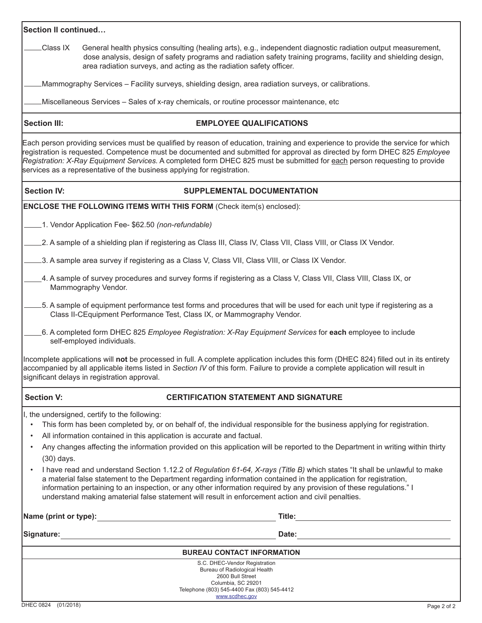| Section II continued… |  |  |  |
|-----------------------|--|--|--|
|-----------------------|--|--|--|

 Class IX General health physics consulting (healing arts), e.g., independent diagnostic radiation output measurement, dose analysis, design of safety programs and radiation safety training programs, facility and shielding design, area radiation surveys, and acting as the radiation safety officer.

Mammography Services – Facility surveys, shielding design, area radiation surveys, or calibrations.

Miscellaneous Services – Sales of x-ray chemicals, or routine processor maintenance, etc

### **Section III: EMPLOYEE QUALIFICATIONS**

Each person providing services must be qualified by reason of education, training and experience to provide the service for which registration is requested. Competence must be documented and submitted for approval as directed by form DHEC 825 *Employee Registration: X-Ray Equipment Services.* A completed form DHEC 825 must be submitted for each person requesting to provide services as a representative of the business applying for registration.

# Section IV: SUPPLEMENTAL DOCUMENTATION

**ENCLOSE THE FOLLOWING ITEMS WITH THIS FORM** (Check item(s) enclosed):

- 1. Vendor Application Fee- \$62.50 *(non-refundable)*
- 2. A sample of a shielding plan if registering as Class III, Class IV, Class VII, Class VIII, or Class IX Vendor.
- 13. A sample area survey if registering as a Class V, Class VII, Class VIII, or Class IX Vendor.
- 4. A sample of survey procedures and survey forms if registering as a Class V, Class VII, Class VIII, Class IX, or Mammography Vendor.
- 5. A sample of equipment performance test forms and procedures that will be used for each unit type if registering as a Class II-CEquipment Performance Test, Class IX, or Mammography Vendor.
- 6. A completed form DHEC 825 *Employee Registration: X-Ray Equipment Services* for **each** employee to include self-employed individuals.

Incomplete applications will **not** be processed in full. A complete application includes this form (DHEC 824) filled out in its entirety accompanied by all applicable items listed in *Section IV* of this form. Failure to provide a complete application will result in significant delays in registration approval.

## **Section V: CERTIFICATION STATEMENT AND SIGNATURE**

I, the undersigned, certify to the following:

- This form has been completed by, or on behalf of, the individual responsible for the business applying for registration.
- All information contained in this application is accurate and factual.
- Any changes affecting the information provided on this application will be reported to the Department in writing within thirty (30) days.
- I have read and understand Section 1.12.2 of *Regulation 61-64, X-rays (Title B)* which states "It shall be unlawful to make a material false statement to the Department regarding information contained in the application for registration, information pertaining to an inspection, or any other information required by any provision of these regulations." I understand making amaterial false statement will result in enforcement action and civil penalties.

| Name (print or type): | Title:                                                         |  |
|-----------------------|----------------------------------------------------------------|--|
| Signature:            | Date:                                                          |  |
|                       | <b>BUREAU CONTACT INFORMATION</b>                              |  |
|                       | S.C. DHEC-Vendor Registration<br>Bureau of Radiological Health |  |
|                       | 2600 Bull Street                                               |  |
|                       | Columbia, SC 29201                                             |  |
|                       | Telephone (803) 545-4400 Fax (803) 545-4412                    |  |

[www.scdhec.gov](http://www.scdhec.gov)